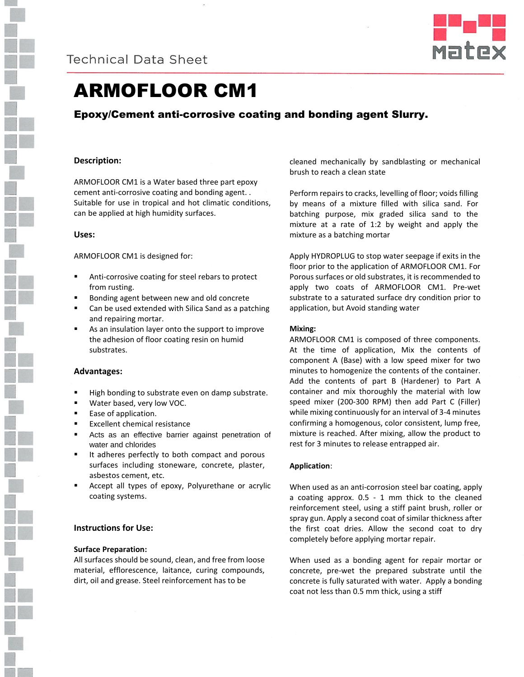



# ARMOFLOOR CM1

# Epoxy/Cement anti-corrosive coating and bonding agent Slurry.

# **Description:**

ARMOFLOOR CM1 is a Water based three part epoxy cement anti-corrosive coating and bonding agent. . Suitable for use in tropical and hot climatic conditions, can be applied at high humidity surfaces.

### **Uses:**

ARMOFLOOR CM1 is designed for:

- Anti-corrosive coating for steel rebars to protect from rusting.
- Bonding agent between new and old concrete
- Can be used extended with Silica Sand as a patching and repairing mortar.
- As an insulation layer onto the support to improve the adhesion of floor coating resin on humid substrates.

# **Advantages:**

- High bonding to substrate even on damp substrate.
- Water based, very low VOC.
- Ease of application.
- Excellent chemical resistance
- Acts as an effective barrier against penetration of water and chlorides
- It adheres perfectly to both compact and porous surfaces including stoneware, concrete, plaster, asbestos cement, etc.
- Accept all types of epoxy, Polyurethane or acrylic coating systems.

# **Instructions for Use:**

### **Surface Preparation:**

All surfaces should be sound, clean, and free from loose material, efflorescence, laitance, curing compounds, dirt, oil and grease. Steel reinforcement has to be

cleaned mechanically by sandblasting or mechanical brush to reach a clean state

Perform repairs to cracks, levelling of floor; voids filling by means of a mixture filled with silica sand. For batching purpose, mix graded silica sand to the mixture at a rate of 1:2 by weight and apply the mixture as a batching mortar

Apply HYDROPLUG to stop water seepage if exits in the floor prior to the application of ARMOFLOOR CM1. For Porous surfaces or old substrates, it is recommended to apply two coats of ARMOFLOOR CM1. Pre-wet substrate to a saturated surface dry condition prior to application, but Avoid standing water

### **Mixing:**

ARMOFLOOR CM1 is composed of three components. At the time of application, Mix the contents of component A (Base) with a low speed mixer for two minutes to homogenize the contents of the container. Add the contents of part B (Hardener) to Part A container and mix thoroughly the material with low speed mixer (200-300 RPM) then add Part C (Filler) while mixing continuously for an interval of 3-4 minutes confirming a homogenous, color consistent, lump free, mixture is reached. After mixing, allow the product to rest for 3 minutes to release entrapped air.

# **Application**:

When used as an anti-corrosion steel bar coating, apply a coating approx. 0.5 - 1 mm thick to the cleaned reinforcement steel, using a stiff paint brush, roller or spray gun. Apply a second coat of similar thickness after the first coat dries. Allow the second coat to dry completely before applying mortar repair.

When used as a bonding agent for repair mortar or concrete, pre-wet the prepared substrate until the concrete is fully saturated with water. Apply a bonding coat not less than 0.5 mm thick, using a stiff